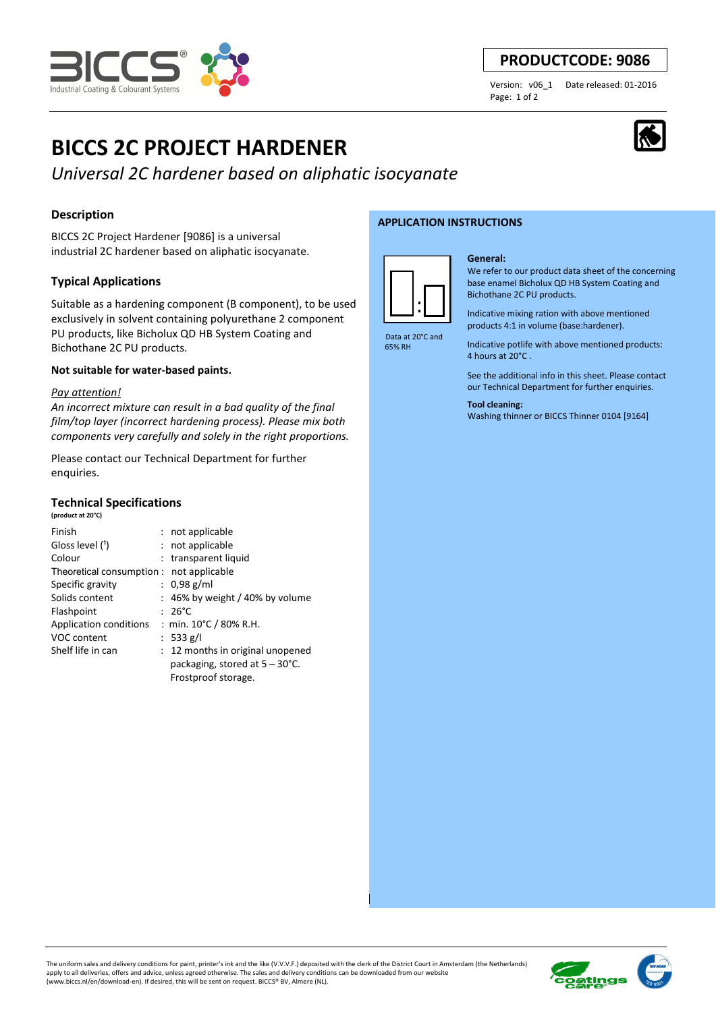

# **PRODUCTCODE: 9086**

Page: 1 of 2

Version: v06\_1 Date released: 01-2016

# **BICCS 2C PROJECT HARDENER**

*Universal 2C hardener based on aliphatic isocyanate*

# **Description**

BICCS 2C Project Hardener [9086] is a universa l industrial 2C hardener based on aliphatic isocyanate.

## **Typical Applications**

Suitable as a hardening component (B component), to be used exclusively in solvent containing polyurethane 2 component PU products, like Bicholux QD HB System Coating and Bichothane 2C PU products.

#### **Not suitable for water-based paints.**

#### *Pay attention!*

**(product at 20°C)**

*An incorrect mixture can result in a bad quality of the final film/top layer (incorrect hardening process). Please mix both components very carefully and solely in the right proportions.* 

Please contact our Technical Department for further enquiries.

### **Technical Specifications**

| Finish                                   | : not applicable                         |
|------------------------------------------|------------------------------------------|
| Gloss level (1)                          | : not applicable                         |
| Colour                                   | : transparent liquid                     |
| Theoretical consumption : not applicable |                                          |
| Specific gravity                         | : $0.98$ g/ml                            |
| Solids content                           | $: 46\%$ by weight / 40% by volume       |
| Flashpoint                               | $: 26^{\circ}$ C                         |
| Application conditions                   | : min. 10°C / 80% R.H.                   |
| VOC content                              | : 533 g/l                                |
| Shelf life in can                        | : 12 months in original unopened         |
|                                          | packaging, stored at $5 - 30^{\circ}$ C. |
|                                          | Frostproof storage.                      |

#### **APPLICATION INSTRUCTIONS**



 Data at 20°C and 65% RH

#### **General:**

We refer to our product data sheet of the concerning base enamel Bicholux QD HB System Coating and Bichothane 2C PU products.

Indicative mixing ration with above mentioned products 4:1 in volume (base:hardener).

Indicative potlife with above mentioned products: 4 hours at 20°C .

See the additional info in this sheet. Please contact our Technical Department for further enquiries.

#### **Tool cleaning:**

Washing thinner or BICCS Thinner 0104 [9164]